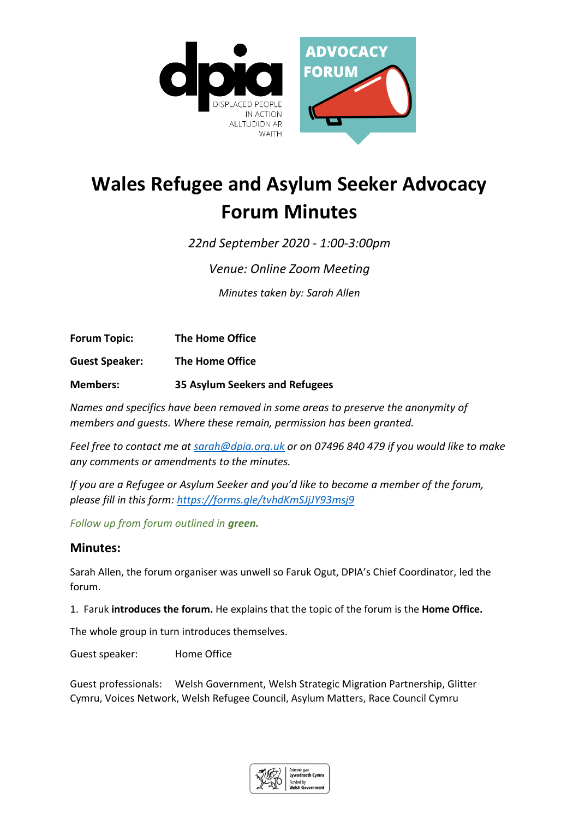

# **Wales Refugee and Asylum Seeker Advocacy Forum Minutes**

*22nd September 2020 - 1:00-3:00pm* 

*Venue: Online Zoom Meeting*

*Minutes taken by: Sarah Allen*

**Forum Topic: The Home Office**

**Guest Speaker: The Home Office**

**Members: 35 Asylum Seekers and Refugees**

*Names and specifics have been removed in some areas to preserve the anonymity of members and guests. Where these remain, permission has been granted.*

*Feel free to contact me at [sarah@dpia.org.uk](mailto:sarah@dpia.org.uk) or on 07496 840 479 if you would like to make any comments or amendments to the minutes.* 

*If you are a Refugee or Asylum Seeker and you'd like to become a member of the forum, please fill in this form:<https://forms.gle/tvhdKmSJjJY93msj9>*

*Follow up from forum outlined in green.*

# **Minutes:**

Sarah Allen, the forum organiser was unwell so Faruk Ogut, DPIA's Chief Coordinator, led the forum.

1. Faruk **introduces the forum.** He explains that the topic of the forum is the **Home Office.**

The whole group in turn introduces themselves.

Guest speaker: Home Office

Guest professionals: Welsh Government, Welsh Strategic Migration Partnership, Glitter Cymru, Voices Network, Welsh Refugee Council, Asylum Matters, Race Council Cymru

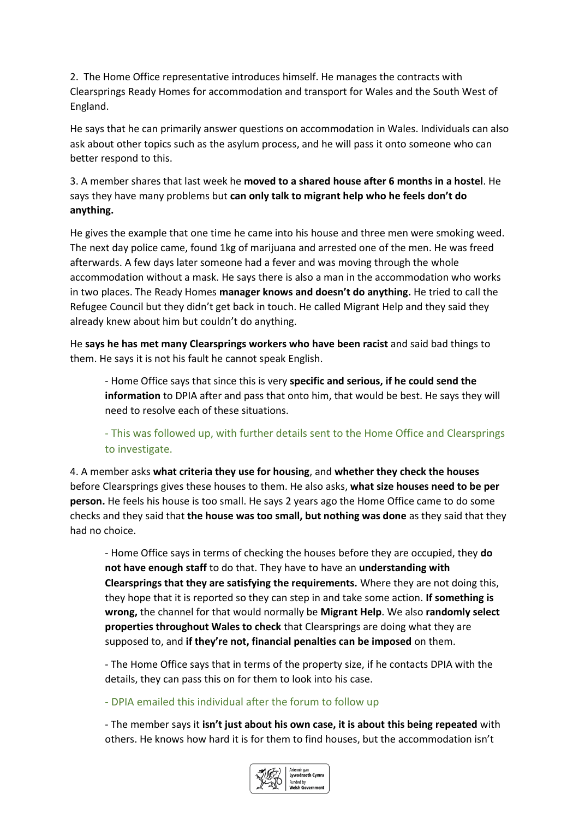2. The Home Office representative introduces himself. He manages the contracts with Clearsprings Ready Homes for accommodation and transport for Wales and the South West of England.

He says that he can primarily answer questions on accommodation in Wales. Individuals can also ask about other topics such as the asylum process, and he will pass it onto someone who can better respond to this.

3. A member shares that last week he **moved to a shared house after 6 months in a hostel**. He says they have many problems but **can only talk to migrant help who he feels don't do anything.** 

He gives the example that one time he came into his house and three men were smoking weed. The next day police came, found 1kg of marijuana and arrested one of the men. He was freed afterwards. A few days later someone had a fever and was moving through the whole accommodation without a mask. He says there is also a man in the accommodation who works in two places. The Ready Homes **manager knows and doesn't do anything.** He tried to call the Refugee Council but they didn't get back in touch. He called Migrant Help and they said they already knew about him but couldn't do anything.

He **says he has met many Clearsprings workers who have been racist** and said bad things to them. He says it is not his fault he cannot speak English.

- Home Office says that since this is very **specific and serious, if he could send the information** to DPIA after and pass that onto him, that would be best. He says they will need to resolve each of these situations.

- This was followed up, with further details sent to the Home Office and Clearsprings to investigate.

4. A member asks **what criteria they use for housing**, and **whether they check the houses** before Clearsprings gives these houses to them. He also asks, **what size houses need to be per person.** He feels his house is too small. He says 2 years ago the Home Office came to do some checks and they said that **the house was too small, but nothing was done** as they said that they had no choice.

- Home Office says in terms of checking the houses before they are occupied, they **do not have enough staff** to do that. They have to have an **understanding with Clearsprings that they are satisfying the requirements.** Where they are not doing this, they hope that it is reported so they can step in and take some action. **If something is wrong,** the channel for that would normally be **Migrant Help**. We also **randomly select properties throughout Wales to check** that Clearsprings are doing what they are supposed to, and **if they're not, financial penalties can be imposed** on them.

- The Home Office says that in terms of the property size, if he contacts DPIA with the details, they can pass this on for them to look into his case.

- DPIA emailed this individual after the forum to follow up

- The member says it **isn't just about his own case, it is about this being repeated** with others. He knows how hard it is for them to find houses, but the accommodation isn't

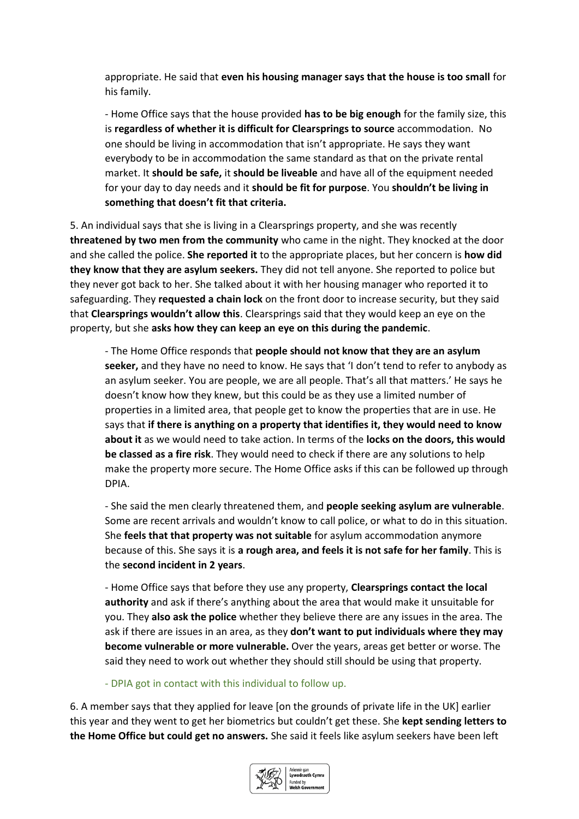appropriate. He said that **even his housing manager says that the house is too small** for his family.

- Home Office says that the house provided **has to be big enough** for the family size, this is **regardless of whether it is difficult for Clearsprings to source** accommodation. No one should be living in accommodation that isn't appropriate. He says they want everybody to be in accommodation the same standard as that on the private rental market. It **should be safe,** it **should be liveable** and have all of the equipment needed for your day to day needs and it **should be fit for purpose**. You **shouldn't be living in something that doesn't fit that criteria.** 

5. An individual says that she is living in a Clearsprings property, and she was recently **threatened by two men from the community** who came in the night. They knocked at the door and she called the police. **She reported it** to the appropriate places, but her concern is **how did they know that they are asylum seekers.** They did not tell anyone. She reported to police but they never got back to her. She talked about it with her housing manager who reported it to safeguarding. They **requested a chain lock** on the front door to increase security, but they said that **Clearsprings wouldn't allow this**. Clearsprings said that they would keep an eye on the property, but she **asks how they can keep an eye on this during the pandemic**.

- The Home Office responds that **people should not know that they are an asylum seeker,** and they have no need to know. He says that 'I don't tend to refer to anybody as an asylum seeker. You are people, we are all people. That's all that matters.' He says he doesn't know how they knew, but this could be as they use a limited number of properties in a limited area, that people get to know the properties that are in use. He says that **if there is anything on a property that identifies it, they would need to know about it** as we would need to take action. In terms of the **locks on the doors, this would be classed as a fire risk**. They would need to check if there are any solutions to help make the property more secure. The Home Office asks if this can be followed up through DPIA.

- She said the men clearly threatened them, and **people seeking asylum are vulnerable**. Some are recent arrivals and wouldn't know to call police, or what to do in this situation. She **feels that that property was not suitable** for asylum accommodation anymore because of this. She says it is **a rough area, and feels it is not safe for her family**. This is the **second incident in 2 years**.

- Home Office says that before they use any property, **Clearsprings contact the local authority** and ask if there's anything about the area that would make it unsuitable for you. They **also ask the police** whether they believe there are any issues in the area. The ask if there are issues in an area, as they **don't want to put individuals where they may become vulnerable or more vulnerable.** Over the years, areas get better or worse. The said they need to work out whether they should still should be using that property.

- DPIA got in contact with this individual to follow up.

6. A member says that they applied for leave [on the grounds of private life in the UK] earlier this year and they went to get her biometrics but couldn't get these. She **kept sending letters to the Home Office but could get no answers.** She said it feels like asylum seekers have been left

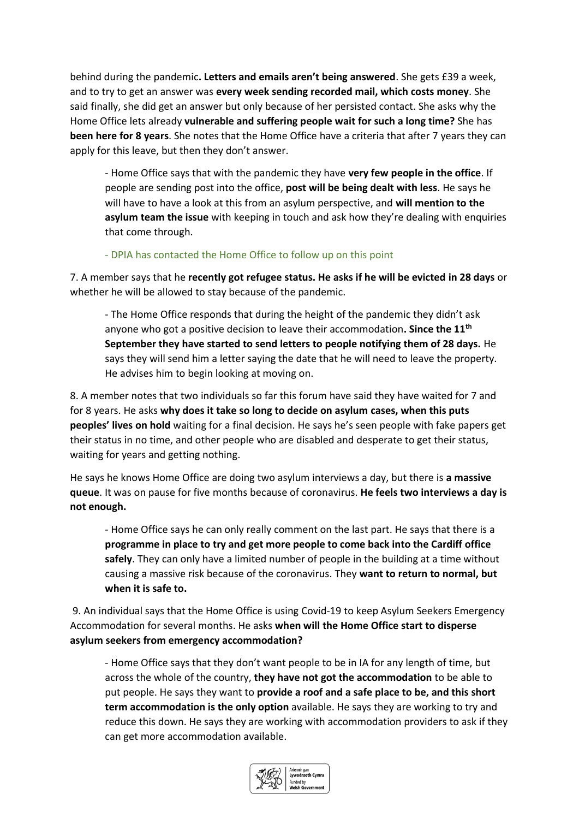behind during the pandemic**. Letters and emails aren't being answered**. She gets £39 a week, and to try to get an answer was **every week sending recorded mail, which costs money**. She said finally, she did get an answer but only because of her persisted contact. She asks why the Home Office lets already **vulnerable and suffering people wait for such a long time?** She has **been here for 8 years**. She notes that the Home Office have a criteria that after 7 years they can apply for this leave, but then they don't answer.

- Home Office says that with the pandemic they have **very few people in the office**. If people are sending post into the office, **post will be being dealt with less**. He says he will have to have a look at this from an asylum perspective, and **will mention to the asylum team the issue** with keeping in touch and ask how they're dealing with enquiries that come through.

#### - DPIA has contacted the Home Office to follow up on this point

7. A member says that he **recently got refugee status. He asks if he will be evicted in 28 days** or whether he will be allowed to stay because of the pandemic.

- The Home Office responds that during the height of the pandemic they didn't ask anyone who got a positive decision to leave their accommodation**. Since the 11th September they have started to send letters to people notifying them of 28 days.** He says they will send him a letter saying the date that he will need to leave the property. He advises him to begin looking at moving on.

8. A member notes that two individuals so far this forum have said they have waited for 7 and for 8 years. He asks **why does it take so long to decide on asylum cases, when this puts peoples' lives on hold** waiting for a final decision. He says he's seen people with fake papers get their status in no time, and other people who are disabled and desperate to get their status, waiting for years and getting nothing.

He says he knows Home Office are doing two asylum interviews a day, but there is **a massive queue**. It was on pause for five months because of coronavirus. **He feels two interviews a day is not enough.**

- Home Office says he can only really comment on the last part. He says that there is a **programme in place to try and get more people to come back into the Cardiff office safely**. They can only have a limited number of people in the building at a time without causing a massive risk because of the coronavirus. They **want to return to normal, but when it is safe to.**

9. An individual says that the Home Office is using Covid-19 to keep Asylum Seekers Emergency Accommodation for several months. He asks **when will the Home Office start to disperse asylum seekers from emergency accommodation?**

- Home Office says that they don't want people to be in IA for any length of time, but across the whole of the country, **they have not got the accommodation** to be able to put people. He says they want to **provide a roof and a safe place to be, and this short term accommodation is the only option** available. He says they are working to try and reduce this down. He says they are working with accommodation providers to ask if they can get more accommodation available.

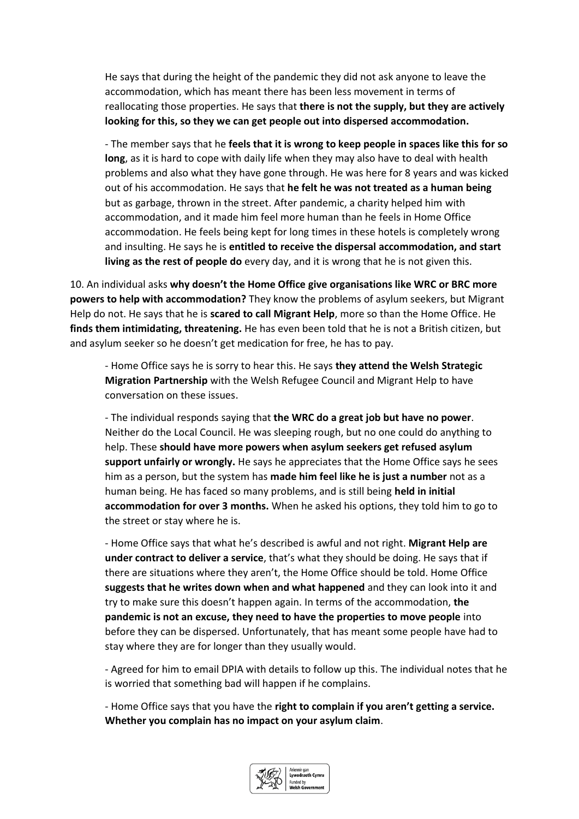He says that during the height of the pandemic they did not ask anyone to leave the accommodation, which has meant there has been less movement in terms of reallocating those properties. He says that **there is not the supply, but they are actively looking for this, so they we can get people out into dispersed accommodation.**

- The member says that he **feels that it is wrong to keep people in spaces like this for so long**, as it is hard to cope with daily life when they may also have to deal with health problems and also what they have gone through. He was here for 8 years and was kicked out of his accommodation. He says that **he felt he was not treated as a human being** but as garbage, thrown in the street. After pandemic, a charity helped him with accommodation, and it made him feel more human than he feels in Home Office accommodation. He feels being kept for long times in these hotels is completely wrong and insulting. He says he is **entitled to receive the dispersal accommodation, and start living as the rest of people do** every day, and it is wrong that he is not given this.

10. An individual asks **why doesn't the Home Office give organisations like WRC or BRC more powers to help with accommodation?** They know the problems of asylum seekers, but Migrant Help do not. He says that he is **scared to call Migrant Help**, more so than the Home Office. He **finds them intimidating, threatening.** He has even been told that he is not a British citizen, but and asylum seeker so he doesn't get medication for free, he has to pay.

- Home Office says he is sorry to hear this. He says **they attend the Welsh Strategic Migration Partnership** with the Welsh Refugee Council and Migrant Help to have conversation on these issues.

- The individual responds saying that **the WRC do a great job but have no power**. Neither do the Local Council. He was sleeping rough, but no one could do anything to help. These **should have more powers when asylum seekers get refused asylum support unfairly or wrongly.** He says he appreciates that the Home Office says he sees him as a person, but the system has **made him feel like he is just a number** not as a human being. He has faced so many problems, and is still being **held in initial accommodation for over 3 months.** When he asked his options, they told him to go to the street or stay where he is.

- Home Office says that what he's described is awful and not right. **Migrant Help are under contract to deliver a service**, that's what they should be doing. He says that if there are situations where they aren't, the Home Office should be told. Home Office **suggests that he writes down when and what happened** and they can look into it and try to make sure this doesn't happen again. In terms of the accommodation, **the pandemic is not an excuse, they need to have the properties to move people** into before they can be dispersed. Unfortunately, that has meant some people have had to stay where they are for longer than they usually would.

- Agreed for him to email DPIA with details to follow up this. The individual notes that he is worried that something bad will happen if he complains.

- Home Office says that you have the **right to complain if you aren't getting a service. Whether you complain has no impact on your asylum claim**.

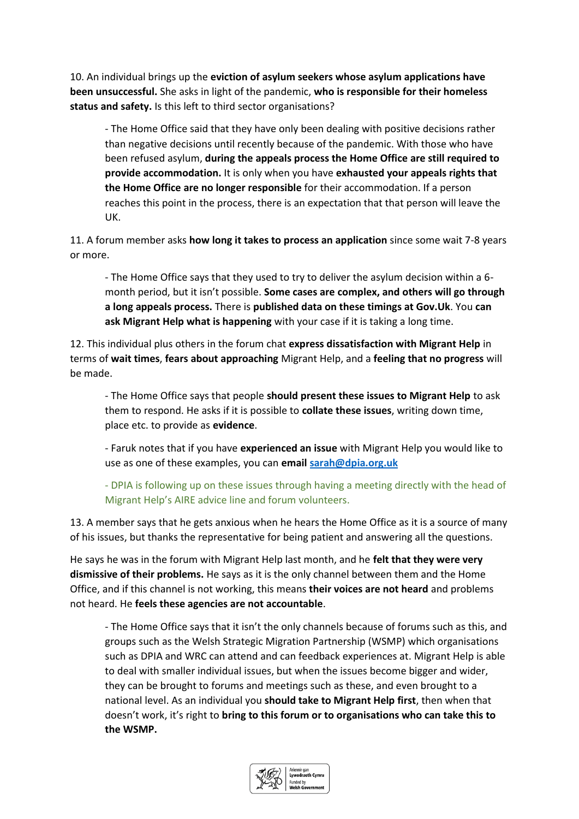10. An individual brings up the **eviction of asylum seekers whose asylum applications have been unsuccessful.** She asks in light of the pandemic, **who is responsible for their homeless status and safety.** Is this left to third sector organisations?

- The Home Office said that they have only been dealing with positive decisions rather than negative decisions until recently because of the pandemic. With those who have been refused asylum, **during the appeals process the Home Office are still required to provide accommodation.** It is only when you have **exhausted your appeals rights that the Home Office are no longer responsible** for their accommodation. If a person reaches this point in the process, there is an expectation that that person will leave the UK.

11. A forum member asks **how long it takes to process an application** since some wait 7-8 years or more.

- The Home Office says that they used to try to deliver the asylum decision within a 6 month period, but it isn't possible. **Some cases are complex, and others will go through a long appeals process.** There is **published data on these timings at Gov.Uk**. You **can ask Migrant Help what is happening** with your case if it is taking a long time.

12. This individual plus others in the forum chat **express dissatisfaction with Migrant Help** in terms of **wait times**, **fears about approaching** Migrant Help, and a **feeling that no progress** will be made.

- The Home Office says that people **should present these issues to Migrant Help** to ask them to respond. He asks if it is possible to **collate these issues**, writing down time, place etc. to provide as **evidence**.

- Faruk notes that if you have **experienced an issue** with Migrant Help you would like to use as one of these examples, you can **email [sarah@dpia.org.uk](mailto:sarah@dpia.org.uk)**

- DPIA is following up on these issues through having a meeting directly with the head of Migrant Help's AIRE advice line and forum volunteers.

13. A member says that he gets anxious when he hears the Home Office as it is a source of many of his issues, but thanks the representative for being patient and answering all the questions.

He says he was in the forum with Migrant Help last month, and he **felt that they were very dismissive of their problems.** He says as it is the only channel between them and the Home Office, and if this channel is not working, this means **their voices are not heard** and problems not heard. He **feels these agencies are not accountable**.

- The Home Office says that it isn't the only channels because of forums such as this, and groups such as the Welsh Strategic Migration Partnership (WSMP) which organisations such as DPIA and WRC can attend and can feedback experiences at. Migrant Help is able to deal with smaller individual issues, but when the issues become bigger and wider, they can be brought to forums and meetings such as these, and even brought to a national level. As an individual you **should take to Migrant Help first**, then when that doesn't work, it's right to **bring to this forum or to organisations who can take this to the WSMP.** 

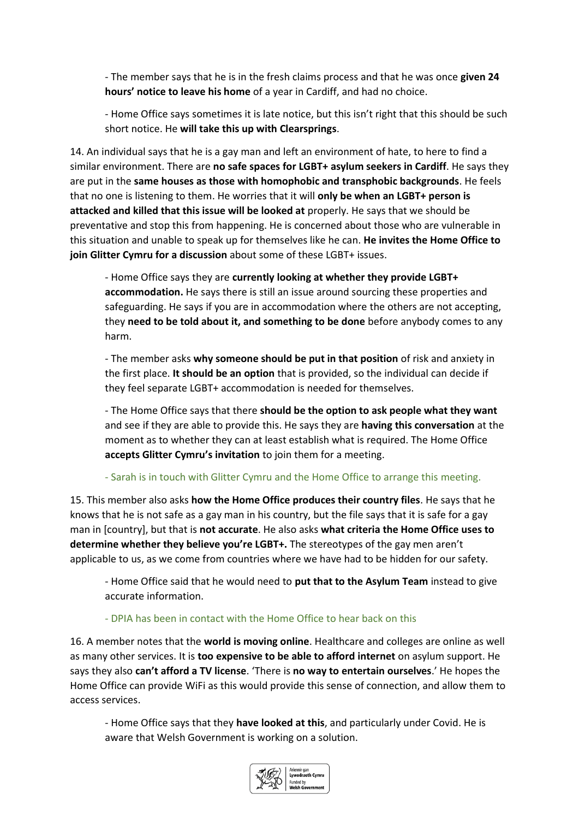- The member says that he is in the fresh claims process and that he was once **given 24 hours' notice to leave his home** of a year in Cardiff, and had no choice.

- Home Office says sometimes it is late notice, but this isn't right that this should be such short notice. He **will take this up with Clearsprings**.

14. An individual says that he is a gay man and left an environment of hate, to here to find a similar environment. There are **no safe spaces for LGBT+ asylum seekers in Cardiff**. He says they are put in the **same houses as those with homophobic and transphobic backgrounds**. He feels that no one is listening to them. He worries that it will **only be when an LGBT+ person is attacked and killed that this issue will be looked at** properly. He says that we should be preventative and stop this from happening. He is concerned about those who are vulnerable in this situation and unable to speak up for themselves like he can. **He invites the Home Office to join Glitter Cymru for a discussion** about some of these LGBT+ issues.

- Home Office says they are **currently looking at whether they provide LGBT+ accommodation.** He says there is still an issue around sourcing these properties and safeguarding. He says if you are in accommodation where the others are not accepting, they **need to be told about it, and something to be done** before anybody comes to any harm.

- The member asks **why someone should be put in that position** of risk and anxiety in the first place. **It should be an option** that is provided, so the individual can decide if they feel separate LGBT+ accommodation is needed for themselves.

- The Home Office says that there **should be the option to ask people what they want** and see if they are able to provide this. He says they are **having this conversation** at the moment as to whether they can at least establish what is required. The Home Office **accepts Glitter Cymru's invitation** to join them for a meeting.

## - Sarah is in touch with Glitter Cymru and the Home Office to arrange this meeting.

15. This member also asks **how the Home Office produces their country files**. He says that he knows that he is not safe as a gay man in his country, but the file says that it is safe for a gay man in [country], but that is **not accurate**. He also asks **what criteria the Home Office uses to determine whether they believe you're LGBT+.** The stereotypes of the gay men aren't applicable to us, as we come from countries where we have had to be hidden for our safety.

- Home Office said that he would need to **put that to the Asylum Team** instead to give accurate information.

## - DPIA has been in contact with the Home Office to hear back on this

16. A member notes that the **world is moving online**. Healthcare and colleges are online as well as many other services. It is **too expensive to be able to afford internet** on asylum support. He says they also **can't afford a TV license**. 'There is **no way to entertain ourselves**.' He hopes the Home Office can provide WiFi as this would provide this sense of connection, and allow them to access services.

- Home Office says that they **have looked at this**, and particularly under Covid. He is aware that Welsh Government is working on a solution.

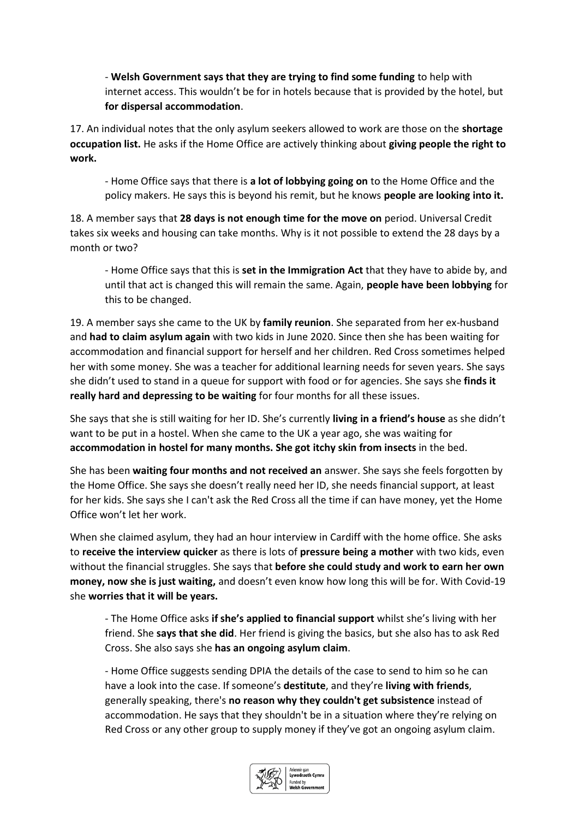- **Welsh Government says that they are trying to find some funding** to help with internet access. This wouldn't be for in hotels because that is provided by the hotel, but **for dispersal accommodation**.

17. An individual notes that the only asylum seekers allowed to work are those on the **shortage occupation list.** He asks if the Home Office are actively thinking about **giving people the right to work.** 

- Home Office says that there is **a lot of lobbying going on** to the Home Office and the policy makers. He says this is beyond his remit, but he knows **people are looking into it.**

18. A member says that **28 days is not enough time for the move on** period. Universal Credit takes six weeks and housing can take months. Why is it not possible to extend the 28 days by a month or two?

- Home Office says that this is **set in the Immigration Act** that they have to abide by, and until that act is changed this will remain the same. Again, **people have been lobbying** for this to be changed.

19. A member says she came to the UK by **family reunion**. She separated from her ex-husband and **had to claim asylum again** with two kids in June 2020. Since then she has been waiting for accommodation and financial support for herself and her children. Red Cross sometimes helped her with some money. She was a teacher for additional learning needs for seven years. She says she didn't used to stand in a queue for support with food or for agencies. She says she **finds it really hard and depressing to be waiting** for four months for all these issues.

She says that she is still waiting for her ID. She's currently **living in a friend's house** as she didn't want to be put in a hostel. When she came to the UK a year ago, she was waiting for **accommodation in hostel for many months. She got itchy skin from insects** in the bed.

She has been **waiting four months and not received an** answer. She says she feels forgotten by the Home Office. She says she doesn't really need her ID, she needs financial support, at least for her kids. She says she I can't ask the Red Cross all the time if can have money, yet the Home Office won't let her work.

When she claimed asylum, they had an hour interview in Cardiff with the home office. She asks to **receive the interview quicker** as there is lots of **pressure being a mother** with two kids, even without the financial struggles. She says that **before she could study and work to earn her own money, now she is just waiting,** and doesn't even know how long this will be for. With Covid-19 she **worries that it will be years.**

- The Home Office asks **if she's applied to financial support** whilst she's living with her friend. She **says that she did**. Her friend is giving the basics, but she also has to ask Red Cross. She also says she **has an ongoing asylum claim**.

- Home Office suggests sending DPIA the details of the case to send to him so he can have a look into the case. If someone's **destitute**, and they're **living with friends**, generally speaking, there's **no reason why they couldn't get subsistence** instead of accommodation. He says that they shouldn't be in a situation where they're relying on Red Cross or any other group to supply money if they've got an ongoing asylum claim.

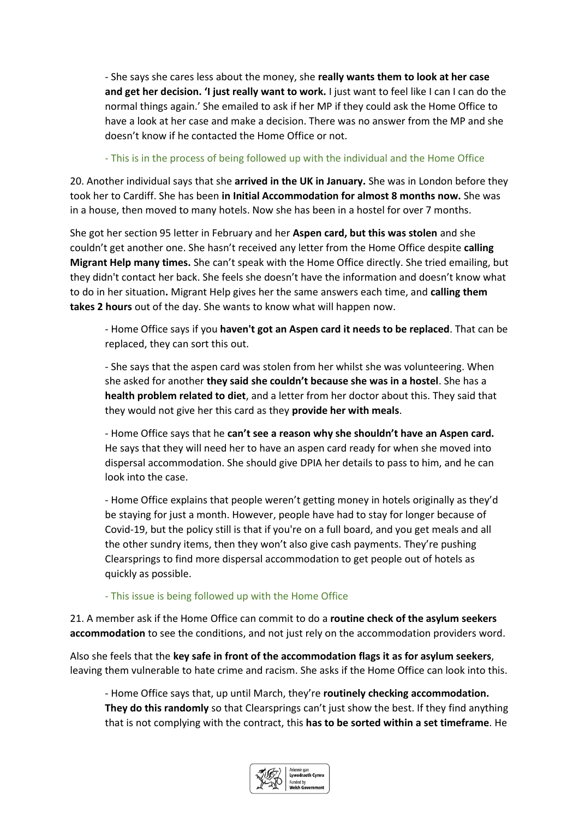- She says she cares less about the money, she **really wants them to look at her case and get her decision. 'I just really want to work.** I just want to feel like I can I can do the normal things again.' She emailed to ask if her MP if they could ask the Home Office to have a look at her case and make a decision. There was no answer from the MP and she doesn't know if he contacted the Home Office or not.

- This is in the process of being followed up with the individual and the Home Office

20. Another individual says that she **arrived in the UK in January.** She was in London before they took her to Cardiff. She has been **in Initial Accommodation for almost 8 months now.** She was in a house, then moved to many hotels. Now she has been in a hostel for over 7 months.

She got her section 95 letter in February and her **Aspen card, but this was stolen** and she couldn't get another one. She hasn't received any letter from the Home Office despite **calling Migrant Help many times.** She can't speak with the Home Office directly. She tried emailing, but they didn't contact her back. She feels she doesn't have the information and doesn't know what to do in her situation**.** Migrant Help gives her the same answers each time, and **calling them takes 2 hours** out of the day. She wants to know what will happen now.

- Home Office says if you **haven't got an Aspen card it needs to be replaced**. That can be replaced, they can sort this out.

- She says that the aspen card was stolen from her whilst she was volunteering. When she asked for another **they said she couldn't because she was in a hostel**. She has a **health problem related to diet**, and a letter from her doctor about this. They said that they would not give her this card as they **provide her with meals**.

- Home Office says that he **can't see a reason why she shouldn't have an Aspen card.** He says that they will need her to have an aspen card ready for when she moved into dispersal accommodation. She should give DPIA her details to pass to him, and he can look into the case.

- Home Office explains that people weren't getting money in hotels originally as they'd be staying for just a month. However, people have had to stay for longer because of Covid-19, but the policy still is that if you're on a full board, and you get meals and all the other sundry items, then they won't also give cash payments. They're pushing Clearsprings to find more dispersal accommodation to get people out of hotels as quickly as possible.

- This issue is being followed up with the Home Office

21. A member ask if the Home Office can commit to do a **routine check of the asylum seekers accommodation** to see the conditions, and not just rely on the accommodation providers word.

Also she feels that the **key safe in front of the accommodation flags it as for asylum seekers**, leaving them vulnerable to hate crime and racism. She asks if the Home Office can look into this.

- Home Office says that, up until March, they're **routinely checking accommodation. They do this randomly** so that Clearsprings can't just show the best. If they find anything that is not complying with the contract, this **has to be sorted within a set timeframe**. He